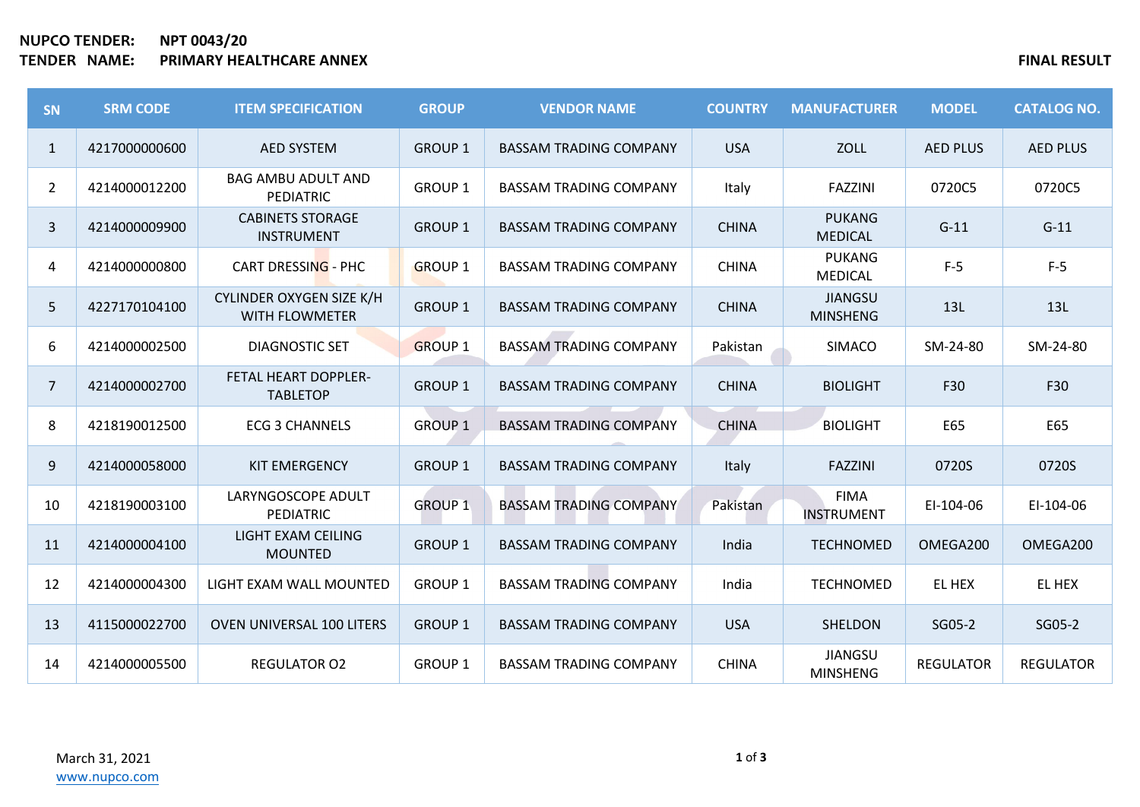## **NUPCO TENDER: NPT 0043/20 TENDER NAME: PRIMARY HEALTHCARE ANNEX FINAL RESULT**

| <b>SN</b>      | <b>SRM CODE</b> | <b>ITEM SPECIFICATION</b>                         | <b>GROUP</b>   | <b>VENDOR NAME</b>            | <b>COUNTRY</b> | <b>MANUFACTURER</b>               | <b>MODEL</b>     | <b>CATALOG NO.</b> |
|----------------|-----------------|---------------------------------------------------|----------------|-------------------------------|----------------|-----------------------------------|------------------|--------------------|
| $\mathbf{1}$   | 4217000000600   | <b>AED SYSTEM</b>                                 | <b>GROUP 1</b> | <b>BASSAM TRADING COMPANY</b> | <b>USA</b>     | <b>ZOLL</b>                       | <b>AED PLUS</b>  | <b>AED PLUS</b>    |
| $\overline{2}$ | 4214000012200   | <b>BAG AMBU ADULT AND</b><br>PEDIATRIC            | <b>GROUP 1</b> | <b>BASSAM TRADING COMPANY</b> | Italy          | <b>FAZZINI</b>                    | 0720C5           | 0720C5             |
| $\mathbf{3}$   | 4214000009900   | <b>CABINETS STORAGE</b><br><b>INSTRUMENT</b>      | <b>GROUP 1</b> | <b>BASSAM TRADING COMPANY</b> | <b>CHINA</b>   | <b>PUKANG</b><br><b>MEDICAL</b>   | $G-11$           | $G-11$             |
| 4              | 4214000000800   | CART DRESSING - PHC                               | <b>GROUP 1</b> | <b>BASSAM TRADING COMPANY</b> | <b>CHINA</b>   | <b>PUKANG</b><br><b>MEDICAL</b>   | $F-5$            | $F-5$              |
| 5              | 4227170104100   | CYLINDER OXYGEN SIZE K/H<br><b>WITH FLOWMETER</b> | <b>GROUP 1</b> | <b>BASSAM TRADING COMPANY</b> | <b>CHINA</b>   | <b>JIANGSU</b><br><b>MINSHENG</b> | 13L              | 13L                |
| 6              | 4214000002500   | <b>DIAGNOSTIC SET</b>                             | <b>GROUP 1</b> | <b>BASSAM TRADING COMPANY</b> | Pakistan       | <b>SIMACO</b>                     | SM-24-80         | SM-24-80           |
| $\overline{7}$ | 4214000002700   | FETAL HEART DOPPLER-<br><b>TABLETOP</b>           | <b>GROUP 1</b> | <b>BASSAM TRADING COMPANY</b> | <b>CHINA</b>   | <b>BIOLIGHT</b>                   | F30              | F30                |
| 8              | 4218190012500   | <b>ECG 3 CHANNELS</b>                             | <b>GROUP 1</b> | <b>BASSAM TRADING COMPANY</b> | <b>CHINA</b>   | <b>BIOLIGHT</b>                   | E65              | E65                |
| 9              | 4214000058000   | <b>KIT EMERGENCY</b>                              | <b>GROUP 1</b> | <b>BASSAM TRADING COMPANY</b> | Italy          | <b>FAZZINI</b>                    | 0720S            | 0720S              |
| 10             | 4218190003100   | LARYNGOSCOPE ADULT<br>PEDIATRIC                   | <b>GROUP 1</b> | <b>BASSAM TRADING COMPANY</b> | Pakistan       | <b>FIMA</b><br><b>INSTRUMENT</b>  | EI-104-06        | EI-104-06          |
| 11             | 4214000004100   | LIGHT EXAM CEILING<br><b>MOUNTED</b>              | <b>GROUP 1</b> | <b>BASSAM TRADING COMPANY</b> | India          | <b>TECHNOMED</b>                  | OMEGA200         | OMEGA200           |
| 12             | 4214000004300   | LIGHT EXAM WALL MOUNTED                           | <b>GROUP 1</b> | <b>BASSAM TRADING COMPANY</b> | India          | <b>TECHNOMED</b>                  | EL HEX           | EL HEX             |
| 13             | 4115000022700   | OVEN UNIVERSAL 100 LITERS                         | <b>GROUP 1</b> | <b>BASSAM TRADING COMPANY</b> | <b>USA</b>     | SHELDON                           | SG05-2           | SG05-2             |
| 14             | 4214000005500   | <b>REGULATOR O2</b>                               | <b>GROUP 1</b> | <b>BASSAM TRADING COMPANY</b> | <b>CHINA</b>   | <b>JIANGSU</b><br><b>MINSHENG</b> | <b>REGULATOR</b> | <b>REGULATOR</b>   |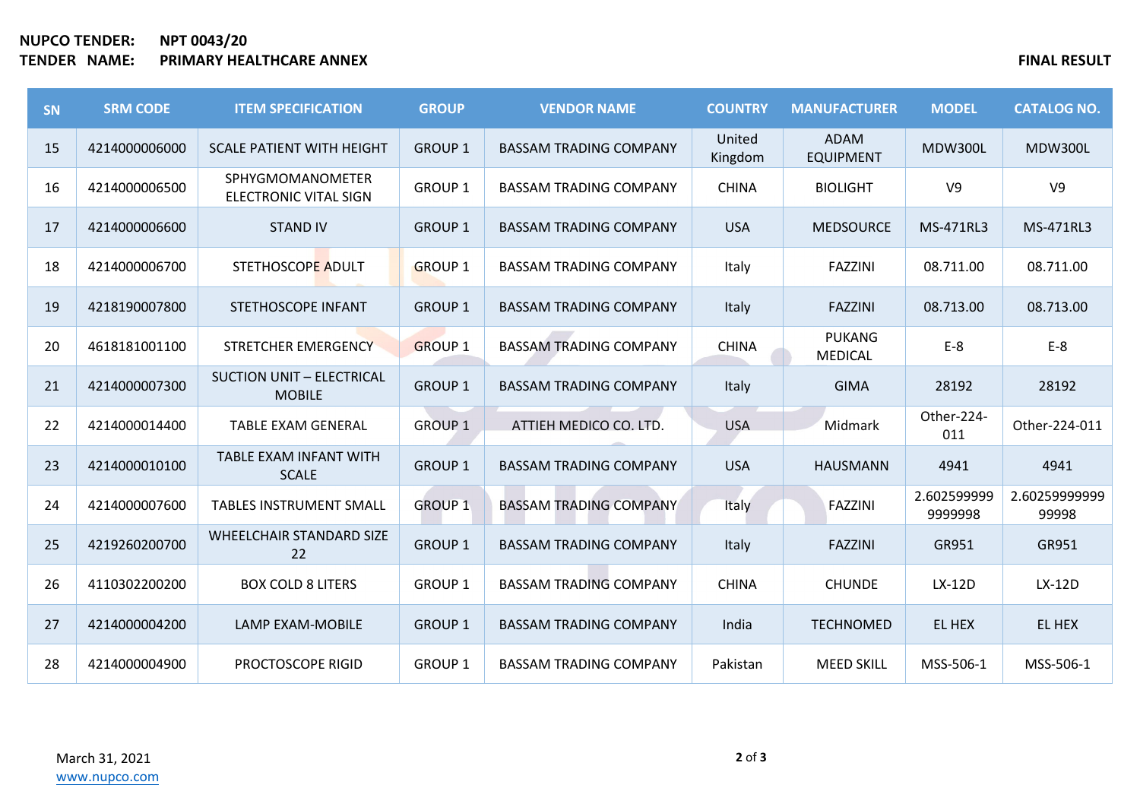## **NUPCO TENDER: NPT 0043/20 TENDER NAME: PRIMARY HEALTHCARE ANNEX FINAL RESULT**

| <b>SN</b> | <b>SRM CODE</b> | <b>ITEM SPECIFICATION</b>                         | <b>GROUP</b>   | <b>VENDOR NAME</b>            | <b>COUNTRY</b>    | <b>MANUFACTURER</b>             | <b>MODEL</b>           | <b>CATALOG NO.</b>     |
|-----------|-----------------|---------------------------------------------------|----------------|-------------------------------|-------------------|---------------------------------|------------------------|------------------------|
| 15        | 4214000006000   | <b>SCALE PATIENT WITH HEIGHT</b>                  | <b>GROUP 1</b> | <b>BASSAM TRADING COMPANY</b> | United<br>Kingdom | <b>ADAM</b><br><b>EQUIPMENT</b> | <b>MDW300L</b>         | <b>MDW300L</b>         |
| 16        | 4214000006500   | SPHYGMOMANOMETER<br><b>ELECTRONIC VITAL SIGN</b>  | <b>GROUP 1</b> | <b>BASSAM TRADING COMPANY</b> | <b>CHINA</b>      | <b>BIOLIGHT</b>                 | V <sub>9</sub>         | V <sub>9</sub>         |
| 17        | 4214000006600   | <b>STAND IV</b>                                   | <b>GROUP 1</b> | <b>BASSAM TRADING COMPANY</b> | <b>USA</b>        | <b>MEDSOURCE</b>                | MS-471RL3              | MS-471RL3              |
| 18        | 4214000006700   | STETHOSCOPE ADULT                                 | <b>GROUP 1</b> | <b>BASSAM TRADING COMPANY</b> | Italy             | <b>FAZZINI</b>                  | 08.711.00              | 08.711.00              |
| 19        | 4218190007800   | STETHOSCOPE INFANT                                | <b>GROUP 1</b> | <b>BASSAM TRADING COMPANY</b> | Italy             | <b>FAZZINI</b>                  | 08.713.00              | 08.713.00              |
| 20        | 4618181001100   | STRETCHER EMERGENCY                               | <b>GROUP 1</b> | <b>BASSAM TRADING COMPANY</b> | <b>CHINA</b>      | <b>PUKANG</b><br><b>MEDICAL</b> | $E-8$                  | $E-8$                  |
| 21        | 4214000007300   | <b>SUCTION UNIT - ELECTRICAL</b><br><b>MOBILE</b> | <b>GROUP 1</b> | <b>BASSAM TRADING COMPANY</b> | Italy             | <b>GIMA</b>                     | 28192                  | 28192                  |
| 22        | 4214000014400   | <b>TABLE EXAM GENERAL</b>                         | <b>GROUP 1</b> | ATTIEH MEDICO CO. LTD.        | <b>USA</b>        | Midmark                         | Other-224-<br>011      | Other-224-011          |
| 23        | 4214000010100   | <b>TABLE EXAM INFANT WITH</b><br><b>SCALE</b>     | <b>GROUP 1</b> | <b>BASSAM TRADING COMPANY</b> | <b>USA</b>        | <b>HAUSMANN</b>                 | 4941                   | 4941                   |
| 24        | 4214000007600   | <b>TABLES INSTRUMENT SMALL</b>                    | <b>GROUP 1</b> | <b>BASSAM TRADING COMPANY</b> | Italy             | <b>FAZZINI</b>                  | 2.602599999<br>9999998 | 2.60259999999<br>99998 |
| 25        | 4219260200700   | <b>WHEELCHAIR STANDARD SIZE</b><br>22             | <b>GROUP 1</b> | <b>BASSAM TRADING COMPANY</b> | Italy             | <b>FAZZINI</b>                  | GR951                  | GR951                  |
| 26        | 4110302200200   | <b>BOX COLD 8 LITERS</b>                          | <b>GROUP 1</b> | <b>BASSAM TRADING COMPANY</b> | <b>CHINA</b>      | <b>CHUNDE</b>                   | LX-12D                 | LX-12D                 |
| 27        | 4214000004200   | LAMP EXAM-MOBILE                                  | <b>GROUP 1</b> | <b>BASSAM TRADING COMPANY</b> | India             | <b>TECHNOMED</b>                | EL HEX                 | EL HEX                 |
| 28        | 4214000004900   | PROCTOSCOPE RIGID                                 | <b>GROUP 1</b> | <b>BASSAM TRADING COMPANY</b> | Pakistan          | <b>MEED SKILL</b>               | MSS-506-1              | MSS-506-1              |